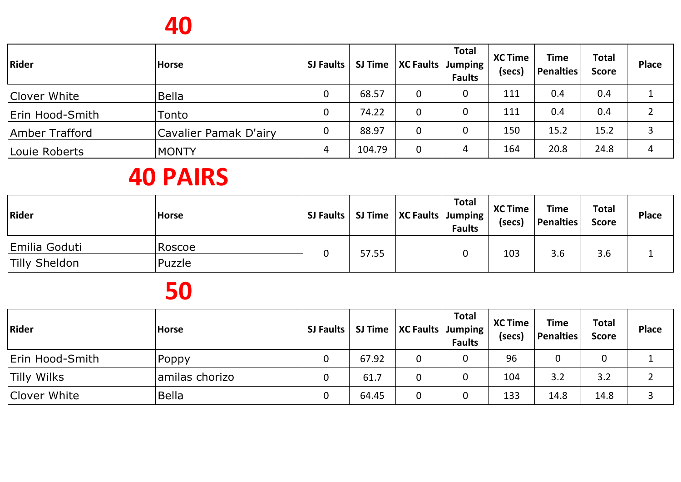## **40**

| Rider                 | <b>Horse</b>          | SJ Faults   |        | SJ Time   XC Faults   Jumping | <b>Total</b><br><b>Faults</b> | <b>XC Time</b><br>(secs) | <b>Time</b><br>Penalties | <b>Total</b><br><b>Score</b> | <b>Place</b> |
|-----------------------|-----------------------|-------------|--------|-------------------------------|-------------------------------|--------------------------|--------------------------|------------------------------|--------------|
| Clover White          | <b>Bella</b>          | 0           | 68.57  | 0                             | 0                             | 111                      | 0.4                      | 0.4                          |              |
| Erin Hood-Smith       | Tonto                 | $\mathbf 0$ | 74.22  | 0                             |                               | 111                      | 0.4                      | 0.4                          |              |
| <b>Amber Trafford</b> | Cavalier Pamak D'airy | $\mathbf 0$ | 88.97  | 0                             |                               | 150                      | 15.2                     | 15.2                         |              |
| Louie Roberts         | <b>MONTY</b>          | 4           | 104.79 | 0                             | 4                             | 164                      | 20.8                     | 24.8                         |              |

# **40 PAIRS**

| Rider         | <b>Horse</b> |   |       | SJ Faults   SJ Time   XC Faults   Jumping | <b>Total</b><br><b>Faults</b> | <b>XC Time</b><br>(secs) | <b>Time</b><br>Penalties | <b>Total</b><br><b>Score</b> | <b>Place</b> |
|---------------|--------------|---|-------|-------------------------------------------|-------------------------------|--------------------------|--------------------------|------------------------------|--------------|
| Emilia Goduti | Roscoe       | 0 | 57.55 |                                           |                               | 103                      | 3.6                      | 3.6                          |              |
| Tilly Sheldon | Puzzle       |   |       |                                           |                               |                          |                          |                              |              |

| <b>Rider</b>       | <b>Horse</b>   |              |       | SJ Faults   SJ Time   XC Faults   Jumping | <b>Total</b><br><b>Faults</b> | <b>XC Time</b><br>(secs) | <b>Time</b><br><b>Penalties</b> | <b>Total</b><br><b>Score</b> | <b>Place</b> |
|--------------------|----------------|--------------|-------|-------------------------------------------|-------------------------------|--------------------------|---------------------------------|------------------------------|--------------|
| Erin Hood-Smith    | Poppy          | $\mathbf 0$  | 67.92 |                                           |                               | 96                       |                                 |                              |              |
| <b>Tilly Wilks</b> | amilas chorizo | 0            | 61.7  |                                           |                               | 104                      | 3.2                             | 3.2                          |              |
| Clover White       | Bella          | $\mathbf{0}$ | 64.45 |                                           |                               | 133                      | 14.8                            | 14.8                         |              |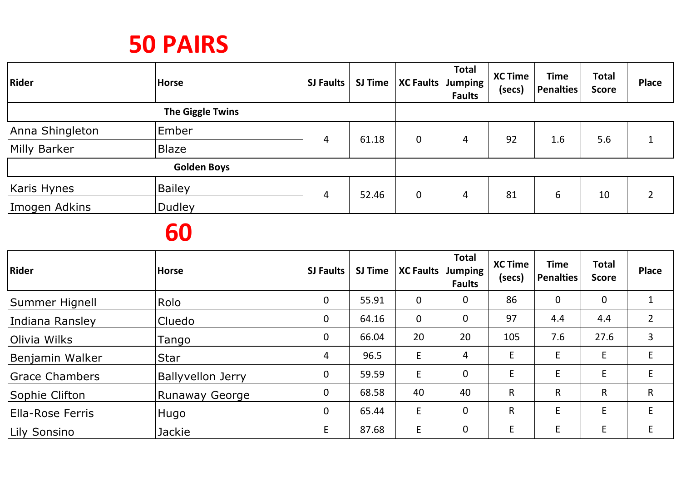| <b>Rider</b>    | <b>Horse</b>       | <b>SJ Faults</b> | <b>SJ Time</b> | <b>XC Faults</b> | <b>Total</b><br>Jumping<br><b>Faults</b> | <b>XC Time</b><br>(secs) | <b>Time</b><br><b>Penalties</b> | <b>Total</b><br><b>Score</b> | <b>Place</b> |
|-----------------|--------------------|------------------|----------------|------------------|------------------------------------------|--------------------------|---------------------------------|------------------------------|--------------|
|                 | The Giggle Twins   |                  |                |                  |                                          |                          |                                 |                              |              |
| Anna Shingleton | Ember              |                  |                |                  | 4                                        | 92                       | 1.6                             |                              |              |
| Milly Barker    | <b>Blaze</b>       | 4                | 61.18          | 0                |                                          |                          |                                 | 5.6                          |              |
|                 | <b>Golden Boys</b> |                  |                |                  |                                          |                          |                                 |                              |              |
| Karis Hynes     | <b>Bailey</b>      | 4                | 52.46          | 0                | 4                                        | 81                       | 6                               | 10                           | 2            |
| Imogen Adkins   | <b>Dudley</b>      |                  |                |                  |                                          |                          |                                 |                              |              |

| Rider                   | <b>Horse</b>             | <b>SJ Faults</b> | <b>SJ Time</b> | <b>XC Faults</b> | <b>Total</b><br>Jumping<br><b>Faults</b> | <b>XC Time</b><br>(secs) | <b>Time</b><br><b>Penalties</b> | <b>Total</b><br><b>Score</b> | <b>Place</b>   |
|-------------------------|--------------------------|------------------|----------------|------------------|------------------------------------------|--------------------------|---------------------------------|------------------------------|----------------|
| Summer Hignell          | Rolo                     | $\mathbf 0$      | 55.91          | 0                | $\mathbf 0$                              | 86                       | $\mathbf 0$                     | 0                            |                |
| Indiana Ransley         | Cluedo                   | $\mathbf 0$      | 64.16          | 0                | $\mathbf 0$                              | 97                       | 4.4                             | 4.4                          | $\overline{2}$ |
| Olivia Wilks            | Tango                    | $\mathbf 0$      | 66.04          | 20               | 20                                       | 105                      | 7.6                             | 27.6                         | 3              |
| Benjamin Walker         | <b>Star</b>              | 4                | 96.5           | E                | 4                                        | E                        | E                               | E                            | E              |
| <b>Grace Chambers</b>   | <b>Ballyvellon Jerry</b> | $\mathbf 0$      | 59.59          | E                | $\mathbf 0$                              | E                        | E                               | E                            | E              |
| Sophie Clifton          | Runaway George           | $\mathbf 0$      | 68.58          | 40               | 40                                       | R                        | R                               | R                            | R              |
| <b>Ella-Rose Ferris</b> | <b>IHugo</b>             | $\mathbf 0$      | 65.44          | E                | $\mathbf 0$                              | R                        | E                               | E                            | E              |
| Lily Sonsino            | Jackie                   | E                | 87.68          | E                | $\boldsymbol{0}$                         | E                        | E                               | E                            | E              |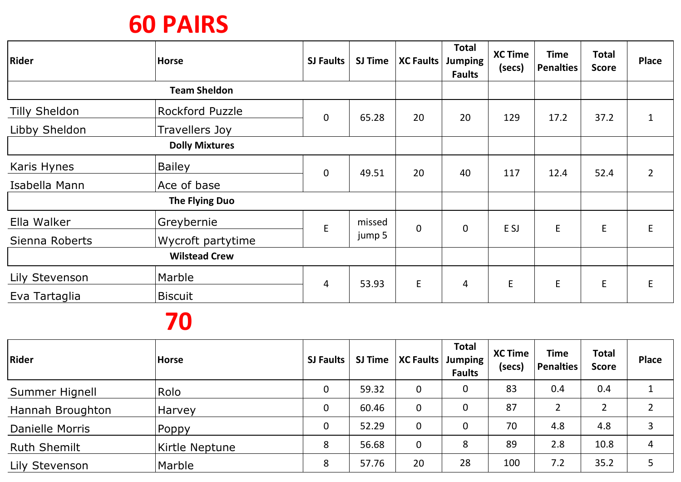| <b>Rider</b>         | <b>Horse</b>          | <b>SJ Faults</b> | SJ Time | <b>XC Faults</b> | <b>Total</b><br><b>Jumping</b><br><b>Faults</b> | <b>XC Time</b><br>(secs) | <b>Time</b><br><b>Penalties</b> | <b>Total</b><br><b>Score</b> | <b>Place</b> |
|----------------------|-----------------------|------------------|---------|------------------|-------------------------------------------------|--------------------------|---------------------------------|------------------------------|--------------|
|                      | <b>Team Sheldon</b>   |                  |         |                  |                                                 |                          |                                 |                              |              |
| <b>Tilly Sheldon</b> | Rockford Puzzle       | $\mathbf 0$      | 65.28   | 20               | 20                                              | 129                      | 17.2                            | 37.2                         |              |
| Libby Sheldon        | Travellers Joy        |                  |         |                  |                                                 |                          |                                 |                              |              |
|                      | <b>Dolly Mixtures</b> |                  |         |                  |                                                 |                          |                                 |                              |              |
| Karis Hynes          | <b>Bailey</b>         | $\mathbf 0$      | 49.51   | 20               | 40                                              | 117                      | 12.4                            | 52.4                         | 2            |
| Isabella Mann        | Ace of base           |                  |         |                  |                                                 |                          |                                 |                              |              |
|                      | <b>The Flying Duo</b> |                  |         |                  |                                                 |                          |                                 |                              |              |
| Ella Walker          | Greybernie            | $\mathsf E$      | missed  | $\mathbf 0$      | $\mathbf 0$                                     | E SJ                     | E                               | E                            | E            |
| Sienna Roberts       | Wycroft partytime     |                  | jump 5  |                  |                                                 |                          |                                 |                              |              |
|                      | <b>Wilstead Crew</b>  |                  |         |                  |                                                 |                          |                                 |                              |              |
| Lily Stevenson       | Marble                | 4                | 53.93   | $\mathsf{E}$     | 4                                               | E                        | E                               | E                            | E            |
| Eva Tartaglia        | <b>Biscuit</b>        |                  |         |                  |                                                 |                          |                                 |                              |              |

| Rider               | <b>Horse</b>   | <b>SJ Faults</b> | <b>SJ Time</b> | <b>XC Faults</b> | <b>Total</b><br>Jumping<br><b>Faults</b> | <b>XC Time</b><br>(secs) | <b>Time</b><br>Penalties | <b>Total</b><br><b>Score</b> | <b>Place</b> |
|---------------------|----------------|------------------|----------------|------------------|------------------------------------------|--------------------------|--------------------------|------------------------------|--------------|
| Summer Hignell      | Rolo           | $\mathbf 0$      | 59.32          | 0                | 0                                        | 83                       | 0.4                      | 0.4                          |              |
| Hannah Broughton    | <b>Harvey</b>  | $\mathbf 0$      | 60.46          | 0                | 0                                        | 87                       |                          |                              |              |
| Danielle Morris     | Poppy          | $\mathbf 0$      | 52.29          | 0                | 0                                        | 70                       | 4.8                      | 4.8                          |              |
| <b>Ruth Shemilt</b> | Kirtle Neptune | 8                | 56.68          | 0                | 8                                        | 89                       | 2.8                      | 10.8                         | 4            |
| Lily Stevenson      | Marble         | 8                | 57.76          | 20               | 28                                       | 100                      | 7.2                      | 35.2                         |              |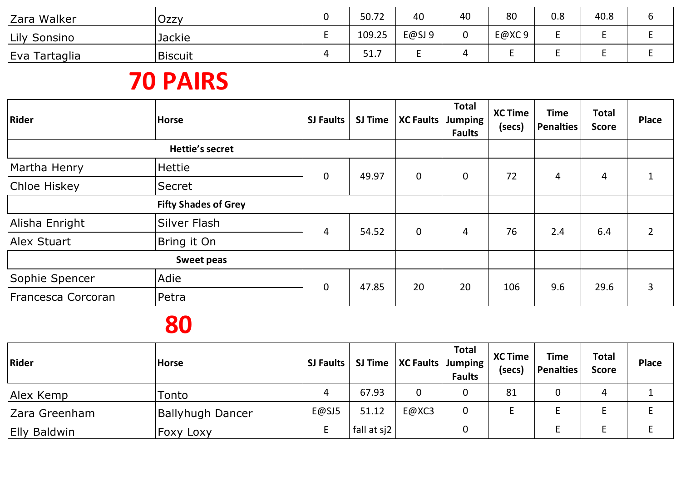| Zara Walker         | Ozzy          | 50.72             | 40    | 40 | 80    | 0.8 | 40.8 | ບ |
|---------------------|---------------|-------------------|-------|----|-------|-----|------|---|
| <b>Lily Sonsino</b> | <b>Jackie</b> | 109.25            | E@SJ9 |    | E@XC9 |     |      |   |
| Eva Tartaglia       | Biscuit       | <b>C17</b><br>コエリ |       |    |       |     |      |   |

| <b>Rider</b>       | <b>Horse</b>                | <b>SJ Faults</b> | <b>SJ Time</b> | <b>XC Faults</b> | <b>Total</b><br>Jumping<br><b>Faults</b> | <b>XC Time</b><br>(secs) | <b>Time</b><br><b>Penalties</b> | <b>Total</b><br><b>Score</b> | <b>Place</b> |
|--------------------|-----------------------------|------------------|----------------|------------------|------------------------------------------|--------------------------|---------------------------------|------------------------------|--------------|
|                    | <b>Hettie's secret</b>      |                  |                |                  |                                          |                          |                                 |                              |              |
| Martha Henry       | Hettie                      |                  | 49.97          | $\mathbf 0$      | $\mathbf 0$                              | 72                       |                                 |                              |              |
| Chloe Hiskey       | Secret                      | $\mathbf 0$      |                |                  |                                          |                          | 4                               | 4                            |              |
|                    | <b>Fifty Shades of Grey</b> |                  |                |                  |                                          |                          |                                 |                              |              |
| Alisha Enright     | Silver Flash                | 4                | 54.52          | $\mathbf 0$      | 4                                        | 76                       | 2.4                             | 6.4                          |              |
| Alex Stuart        | Bring it On                 |                  |                |                  |                                          |                          |                                 |                              |              |
|                    | <b>Sweet peas</b>           |                  |                |                  |                                          |                          |                                 |                              |              |
| Sophie Spencer     | Adie                        | $\mathbf 0$      | 47.85          | 20               | 20                                       | 106                      | 9.6                             | 29.6                         | 3            |
| Francesca Corcoran | Petra                       |                  |                |                  |                                          |                          |                                 |                              |              |

| Rider         | <b>Horse</b>            |       | SJ Faults   SJ Time   XC Faults   Jumping |       | <b>Total</b><br><b>Faults</b> | <b>XC Time</b><br>(secs) | <b>Time</b><br>Penalties | <b>Total</b><br><b>Score</b> | <b>Place</b> |
|---------------|-------------------------|-------|-------------------------------------------|-------|-------------------------------|--------------------------|--------------------------|------------------------------|--------------|
| Alex Kemp     | Tonto                   | 4     | 67.93                                     | 0     |                               | 81                       |                          |                              |              |
| Zara Greenham | <b>Ballyhugh Dancer</b> | E@SJ5 | 51.12                                     | E@XC3 |                               |                          |                          |                              |              |
| Elly Baldwin  | <b>Foxy Loxy</b>        |       | fall at sj2                               |       |                               |                          |                          |                              |              |